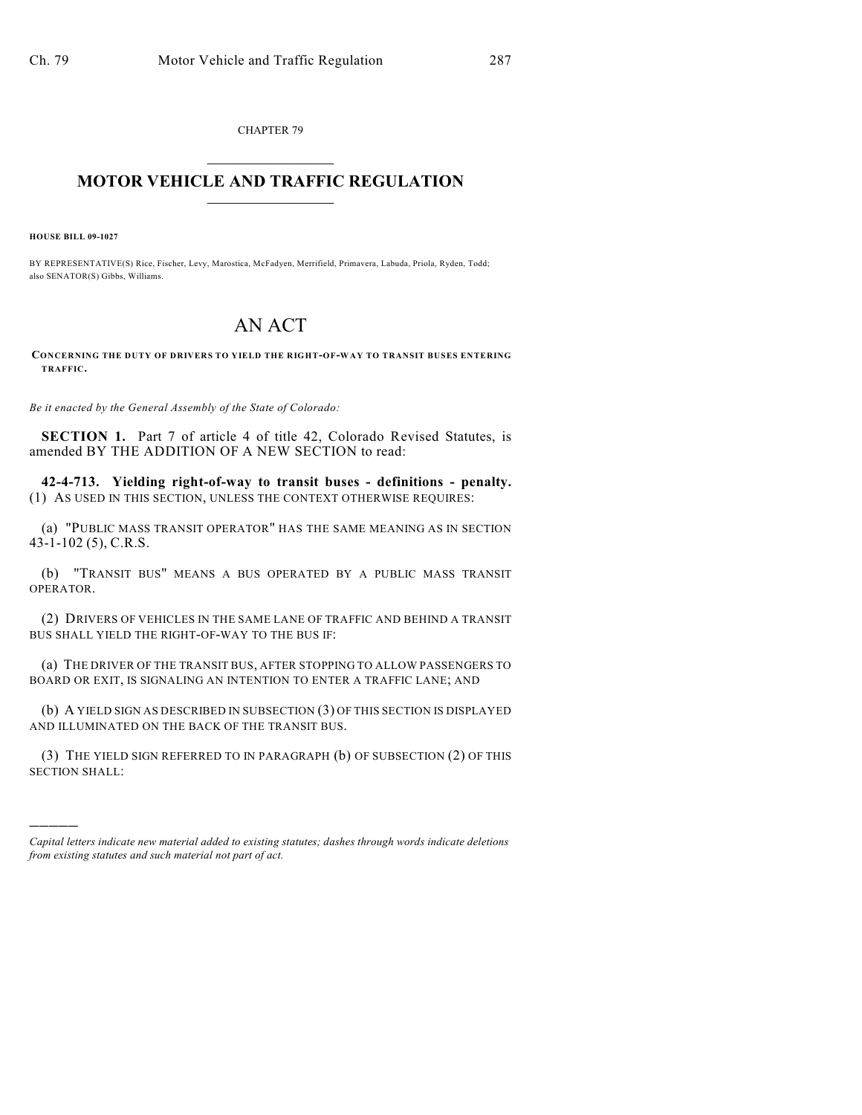CHAPTER 79  $\mathcal{L}_\text{max}$  . The set of the set of the set of the set of the set of the set of the set of the set of the set of the set of the set of the set of the set of the set of the set of the set of the set of the set of the set

## **MOTOR VEHICLE AND TRAFFIC REGULATION**  $\frac{1}{2}$  ,  $\frac{1}{2}$  ,  $\frac{1}{2}$  ,  $\frac{1}{2}$  ,  $\frac{1}{2}$  ,  $\frac{1}{2}$  ,  $\frac{1}{2}$

**HOUSE BILL 09-1027**

)))))

BY REPRESENTATIVE(S) Rice, Fischer, Levy, Marostica, McFadyen, Merrifield, Primavera, Labuda, Priola, Ryden, Todd; also SENATOR(S) Gibbs, Williams.

## AN ACT

**CONCERNING THE DUTY OF DRIVERS TO YIELD THE RIGHT-OF-WAY TO TRANSIT BUSES ENTERING TRAFFIC.**

*Be it enacted by the General Assembly of the State of Colorado:*

**SECTION 1.** Part 7 of article 4 of title 42, Colorado Revised Statutes, is amended BY THE ADDITION OF A NEW SECTION to read:

**42-4-713. Yielding right-of-way to transit buses - definitions - penalty.** (1) AS USED IN THIS SECTION, UNLESS THE CONTEXT OTHERWISE REQUIRES:

(a) "PUBLIC MASS TRANSIT OPERATOR" HAS THE SAME MEANING AS IN SECTION 43-1-102 (5), C.R.S.

(b) "TRANSIT BUS" MEANS A BUS OPERATED BY A PUBLIC MASS TRANSIT OPERATOR.

(2) DRIVERS OF VEHICLES IN THE SAME LANE OF TRAFFIC AND BEHIND A TRANSIT BUS SHALL YIELD THE RIGHT-OF-WAY TO THE BUS IF:

(a) THE DRIVER OF THE TRANSIT BUS, AFTER STOPPING TO ALLOW PASSENGERS TO BOARD OR EXIT, IS SIGNALING AN INTENTION TO ENTER A TRAFFIC LANE; AND

(b) A YIELD SIGN AS DESCRIBED IN SUBSECTION (3) OF THIS SECTION IS DISPLAYED AND ILLUMINATED ON THE BACK OF THE TRANSIT BUS.

(3) THE YIELD SIGN REFERRED TO IN PARAGRAPH (b) OF SUBSECTION (2) OF THIS SECTION SHALL:

*Capital letters indicate new material added to existing statutes; dashes through words indicate deletions from existing statutes and such material not part of act.*